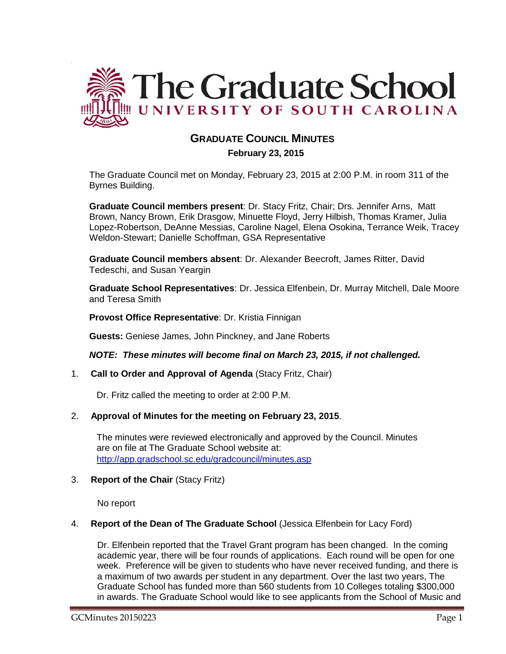

# **GRADUATE COUNCIL MINUTES**

## **February 23, 2015**

The Graduate Council met on Monday, February 23, 2015 at 2:00 P.M. in room 311 of the Byrnes Building.

**Graduate Council members present**: Dr. Stacy Fritz, Chair; Drs. Jennifer Arns, Matt Brown, Nancy Brown, Erik Drasgow, Minuette Floyd, Jerry Hilbish, Thomas Kramer, Julia Lopez-Robertson, DeAnne Messias, Caroline Nagel, Elena Osokina, Terrance Weik, Tracey Weldon-Stewart; Danielle Schoffman, GSA Representative

**Graduate Council members absent**: Dr. Alexander Beecroft, James Ritter, David Tedeschi, and Susan Yeargin

**Graduate School Representatives**: Dr. Jessica Elfenbein, Dr. Murray Mitchell, Dale Moore and Teresa Smith

**Provost Office Representative**: Dr. Kristia Finnigan

**Guests:** Geniese James, John Pinckney, and Jane Roberts

*NOTE: These minutes will become final on March 23, 2015, if not challenged.*

### 1. **Call to Order and Approval of Agenda** (Stacy Fritz, Chair)

Dr. Fritz called the meeting to order at 2:00 P.M.

### 2. **Approval of Minutes for the meeting on February 23, 2015**.

The minutes were reviewed electronically and approved by the Council. Minutes are on file at The Graduate School website at: <http://app.gradschool.sc.edu/gradcouncil/minutes.asp>

### 3. **Report of the Chair** (Stacy Fritz)

No report

.

#### 4. **Report of the Dean of The Graduate School** (Jessica Elfenbein for Lacy Ford)

Dr. Elfenbein reported that the Travel Grant program has been changed. In the coming academic year, there will be four rounds of applications. Each round will be open for one week. Preference will be given to students who have never received funding, and there is a maximum of two awards per student in any department. Over the last two years, The Graduate School has funded more than 560 students from 10 Colleges totaling \$300,000 in awards. The Graduate School would like to see applicants from the School of Music and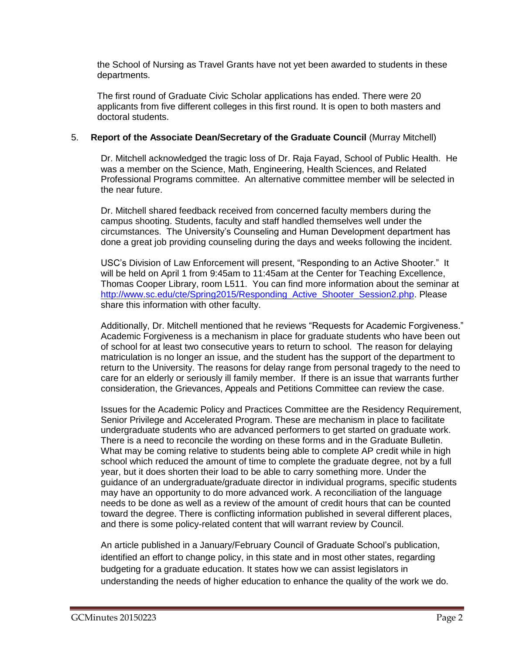the School of Nursing as Travel Grants have not yet been awarded to students in these departments.

The first round of Graduate Civic Scholar applications has ended. There were 20 applicants from five different colleges in this first round. It is open to both masters and doctoral students.

## 5. **Report of the Associate Dean/Secretary of the Graduate Council** (Murray Mitchell)

Dr. Mitchell acknowledged the tragic loss of Dr. Raja Fayad, School of Public Health. He was a member on the Science, Math, Engineering, Health Sciences, and Related Professional Programs committee. An alternative committee member will be selected in the near future.

Dr. Mitchell shared feedback received from concerned faculty members during the campus shooting. Students, faculty and staff handled themselves well under the circumstances. The University's Counseling and Human Development department has done a great job providing counseling during the days and weeks following the incident.

USC's Division of Law Enforcement will present, "Responding to an Active Shooter." It will be held on April 1 from 9:45am to 11:45am at the Center for Teaching Excellence, Thomas Cooper Library, room L511. You can find more information about the seminar at [http://www.sc.edu/cte/Spring2015/Responding\\_Active\\_Shooter\\_Session2.php.](http://www.sc.edu/cte/Spring2015/Responding_Active_Shooter_Session2.php) Please share this information with other faculty.

Additionally, Dr. Mitchell mentioned that he reviews "Requests for Academic Forgiveness." Academic Forgiveness is a mechanism in place for graduate students who have been out of school for at least two consecutive years to return to school. The reason for delaying matriculation is no longer an issue, and the student has the support of the department to return to the University. The reasons for delay range from personal tragedy to the need to care for an elderly or seriously ill family member. If there is an issue that warrants further consideration, the Grievances, Appeals and Petitions Committee can review the case.

Issues for the Academic Policy and Practices Committee are the Residency Requirement, Senior Privilege and Accelerated Program. These are mechanism in place to facilitate undergraduate students who are advanced performers to get started on graduate work. There is a need to reconcile the wording on these forms and in the Graduate Bulletin. What may be coming relative to students being able to complete AP credit while in high school which reduced the amount of time to complete the graduate degree, not by a full year, but it does shorten their load to be able to carry something more. Under the guidance of an undergraduate/graduate director in individual programs, specific students may have an opportunity to do more advanced work. A reconciliation of the language needs to be done as well as a review of the amount of credit hours that can be counted toward the degree. There is conflicting information published in several different places, and there is some policy-related content that will warrant review by Council.

An article published in a January/February Council of Graduate School's publication, identified an effort to change policy, in this state and in most other states, regarding budgeting for a graduate education. It states how we can assist legislators in understanding the needs of higher education to enhance the quality of the work we do.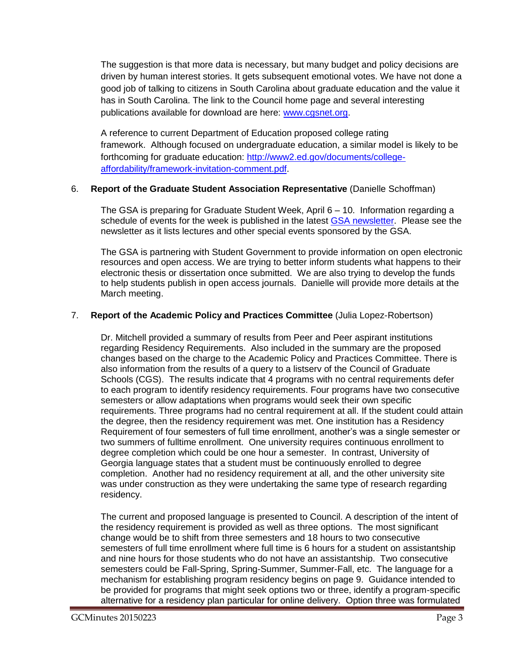The suggestion is that more data is necessary, but many budget and policy decisions are driven by human interest stories. It gets subsequent emotional votes. We have not done a good job of talking to citizens in South Carolina about graduate education and the value it has in South Carolina. The link to the Council home page and several interesting publications available for download are here: [www.cgsnet.org.](http://www.cgsnet.org/)

A reference to current Department of Education proposed college rating framework. Although focused on undergraduate education, a similar model is likely to be forthcoming for graduate education: [http://www2.ed.gov/documents/college](http://www2.ed.gov/documents/college-affordability/framework-invitation-comment.pdf)[affordability/framework-invitation-comment.pdf.](http://www2.ed.gov/documents/college-affordability/framework-invitation-comment.pdf)

## 6. **Report of the Graduate Student Association Representative** (Danielle Schoffman)

The GSA is preparing for Graduate Student Week, April 6 – 10. Information regarding a schedule of events for the week is published in the latest [GSA newsletter.](http://gradschool.sc.edu/facstaff/gradcouncil/2014/GSA%20Newsletter%20for%202-23-15.pdf) Please see the newsletter as it lists lectures and other special events sponsored by the GSA.

The GSA is partnering with Student Government to provide information on open electronic resources and open access. We are trying to better inform students what happens to their electronic thesis or dissertation once submitted. We are also trying to develop the funds to help students publish in open access journals. Danielle will provide more details at the March meeting.

## 7. **Report of the Academic Policy and Practices Committee** (Julia Lopez-Robertson)

Dr. Mitchell provided a summary of results from Peer and Peer aspirant institutions regarding Residency Requirements. Also included in the summary are the proposed changes based on the charge to the Academic Policy and Practices Committee. There is also information from the results of a query to a listserv of the Council of Graduate Schools (CGS). The results indicate that 4 programs with no central requirements defer to each program to identify residency requirements. Four programs have two consecutive semesters or allow adaptations when programs would seek their own specific requirements. Three programs had no central requirement at all. If the student could attain the degree, then the residency requirement was met. One institution has a Residency Requirement of four semesters of full time enrollment, another's was a single semester or two summers of fulltime enrollment. One university requires continuous enrollment to degree completion which could be one hour a semester. In contrast, University of Georgia language states that a student must be continuously enrolled to degree completion. Another had no residency requirement at all, and the other university site was under construction as they were undertaking the same type of research regarding residency.

The current and proposed language is presented to Council. A description of the intent of the residency requirement is provided as well as three options. The most significant change would be to shift from three semesters and 18 hours to two consecutive semesters of full time enrollment where full time is 6 hours for a student on assistantship and nine hours for those students who do not have an assistantship. Two consecutive semesters could be Fall-Spring, Spring-Summer, Summer-Fall, etc. The language for a mechanism for establishing program residency begins on page 9. Guidance intended to be provided for programs that might seek options two or three, identify a program-specific alternative for a residency plan particular for online delivery. Option three was formulated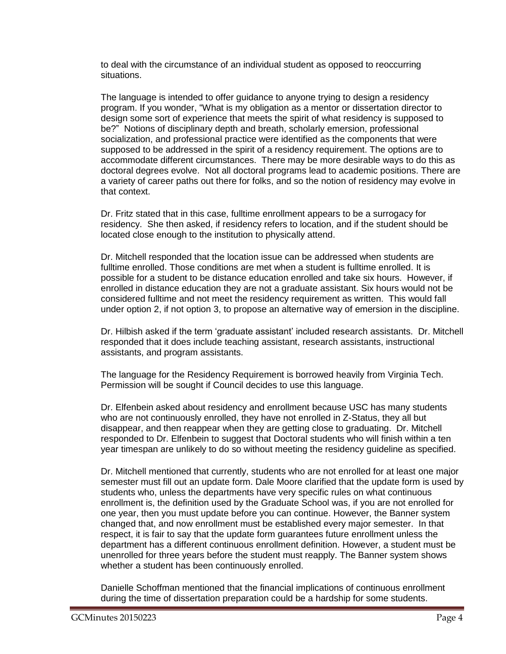to deal with the circumstance of an individual student as opposed to reoccurring situations.

The language is intended to offer guidance to anyone trying to design a residency program. If you wonder, "What is my obligation as a mentor or dissertation director to design some sort of experience that meets the spirit of what residency is supposed to be?" Notions of disciplinary depth and breath, scholarly emersion, professional socialization, and professional practice were identified as the components that were supposed to be addressed in the spirit of a residency requirement. The options are to accommodate different circumstances. There may be more desirable ways to do this as doctoral degrees evolve. Not all doctoral programs lead to academic positions. There are a variety of career paths out there for folks, and so the notion of residency may evolve in that context.

Dr. Fritz stated that in this case, fulltime enrollment appears to be a surrogacy for residency. She then asked, if residency refers to location, and if the student should be located close enough to the institution to physically attend.

Dr. Mitchell responded that the location issue can be addressed when students are fulltime enrolled. Those conditions are met when a student is fulltime enrolled. It is possible for a student to be distance education enrolled and take six hours. However, if enrolled in distance education they are not a graduate assistant. Six hours would not be considered fulltime and not meet the residency requirement as written. This would fall under option 2, if not option 3, to propose an alternative way of emersion in the discipline.

Dr. Hilbish asked if the term 'graduate assistant' included research assistants. Dr. Mitchell responded that it does include teaching assistant, research assistants, instructional assistants, and program assistants.

The language for the Residency Requirement is borrowed heavily from Virginia Tech. Permission will be sought if Council decides to use this language.

Dr. Elfenbein asked about residency and enrollment because USC has many students who are not continuously enrolled, they have not enrolled in Z-Status, they all but disappear, and then reappear when they are getting close to graduating. Dr. Mitchell responded to Dr. Elfenbein to suggest that Doctoral students who will finish within a ten year timespan are unlikely to do so without meeting the residency guideline as specified.

Dr. Mitchell mentioned that currently, students who are not enrolled for at least one major semester must fill out an update form. Dale Moore clarified that the update form is used by students who, unless the departments have very specific rules on what continuous enrollment is, the definition used by the Graduate School was, if you are not enrolled for one year, then you must update before you can continue. However, the Banner system changed that, and now enrollment must be established every major semester. In that respect, it is fair to say that the update form guarantees future enrollment unless the department has a different continuous enrollment definition. However, a student must be unenrolled for three years before the student must reapply. The Banner system shows whether a student has been continuously enrolled.

Danielle Schoffman mentioned that the financial implications of continuous enrollment during the time of dissertation preparation could be a hardship for some students.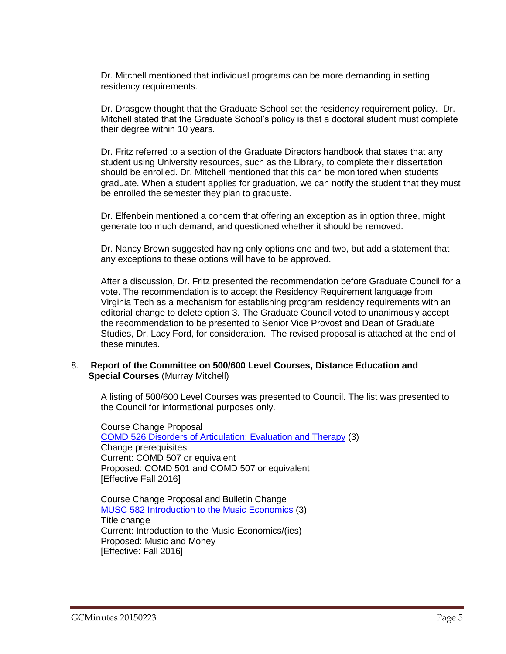Dr. Mitchell mentioned that individual programs can be more demanding in setting residency requirements.

Dr. Drasgow thought that the Graduate School set the residency requirement policy. Dr. Mitchell stated that the Graduate School's policy is that a doctoral student must complete their degree within 10 years.

Dr. Fritz referred to a section of the Graduate Directors handbook that states that any student using University resources, such as the Library, to complete their dissertation should be enrolled. Dr. Mitchell mentioned that this can be monitored when students graduate. When a student applies for graduation, we can notify the student that they must be enrolled the semester they plan to graduate.

Dr. Elfenbein mentioned a concern that offering an exception as in option three, might generate too much demand, and questioned whether it should be removed.

Dr. Nancy Brown suggested having only options one and two, but add a statement that any exceptions to these options will have to be approved.

After a discussion, Dr. Fritz presented the recommendation before Graduate Council for a vote. The recommendation is to accept the Residency Requirement language from Virginia Tech as a mechanism for establishing program residency requirements with an editorial change to delete option 3. The Graduate Council voted to unanimously accept the recommendation to be presented to Senior Vice Provost and Dean of Graduate Studies, Dr. Lacy Ford, for consideration. The revised proposal is attached at the end of these minutes.

#### 8. **Report of the Committee on 500/600 Level Courses, Distance Education and Special Courses** (Murray Mitchell)

A listing of 500/600 Level Courses was presented to Council. The list was presented to the Council for informational purposes only.

Course Change Proposal COMD 526 Disorders of [Articulation:](http://gradschool.sc.edu/facstaff/gradcouncil/2014/COMD%20526%20CCP.pdf) Evaluation and Therapy (3) Change prerequisites Current: COMD 507 or equivalent Proposed: COMD 501 and COMD 507 or equivalent [Effective Fall 2016]

Course Change Proposal and Bulletin Change MUSC 582 [Introduction to](http://gradschool.sc.edu/facstaff/gradcouncil/2014/MUSC%20582_Redacted.pdf) the Music Economics (3) Title change Current: Introduction to the Music Economics/(ies) Proposed: Music and Money [Effective: Fall 2016]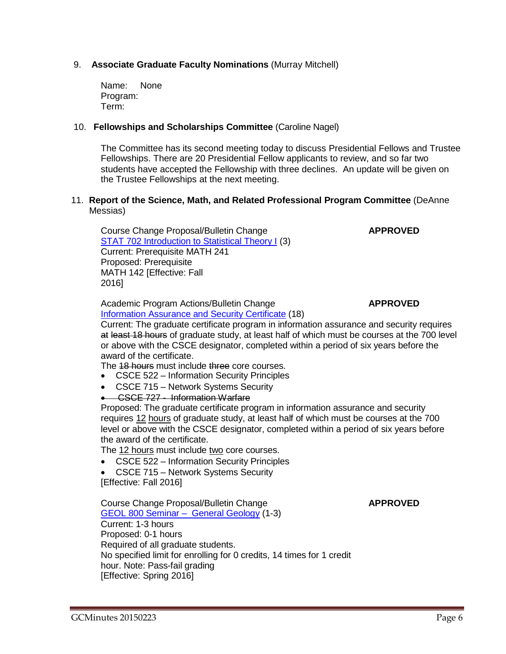## 9. **Associate Graduate Faculty Nominations** (Murray Mitchell)

Name: None Program: Term:

#### 10. **Fellowships and Scholarships Committee** (Caroline Nagel)

The Committee has its second meeting today to discuss Presidential Fellows and Trustee Fellowships. There are 20 Presidential Fellow applicants to review, and so far two students have accepted the Fellowship with three declines. An update will be given on the Trustee Fellowships at the next meeting.

#### 11. **Report of the Science, Math, and Related Professional Program Committee** (DeAnne Messias)

Course Change Proposal/Bulletin Change **APPROVED** STAT 702 [Introduction](http://gradschool.sc.edu/facstaff/gradcouncil/2014/STAT702%20CCP_Redacted.pdf) to Statistical Theory I (3) Current: Prerequisite MATH 241 Proposed: Prerequisite MATH 142 [Effective: Fall 2016]

Academic Program Actions/Bulletin Change **APPROVED** [Information](http://gradschool.sc.edu/facstaff/gradcouncil/2014/Computer%20Science%20Info%20Assurance%20APA_Redacted1.pdf) Assurance and Security Certificate (18)

#### Current: The graduate certificate program in information assurance and security requires at least 18 hours of graduate study, at least half of which must be courses at the 700 level or above with the CSCE designator, completed within a period of six years before the award of the certificate.

The 18 hours must include three core courses.

- CSCE 522 Information Security Principles
- CSCE 715 Network Systems Security
- CSCE 727 Information Warfare

Proposed: The graduate certificate program in information assurance and security requires 12 hours of graduate study, at least half of which must be courses at the 700 level or above with the CSCE designator, completed within a period of six years before the award of the certificate.

The 12 hours must include two core courses.

- CSCE 522 Information Security Principles
- CSCE 715 Network Systems Security

[Effective: Fall 2016]

Course Change Proposal/Bulletin Change **APPROVED** GEOL 800 Seminar – General [Geology](http://gradschool.sc.edu/facstaff/gradcouncil/2014/GEOL%20800_Redacted.pdf) (1-3) Current: 1-3 hours Proposed: 0-1 hours Required of all graduate students. No specified limit for enrolling for 0 credits, 14 times for 1 credit hour. Note: Pass-fail grading [Effective: Spring 2016]

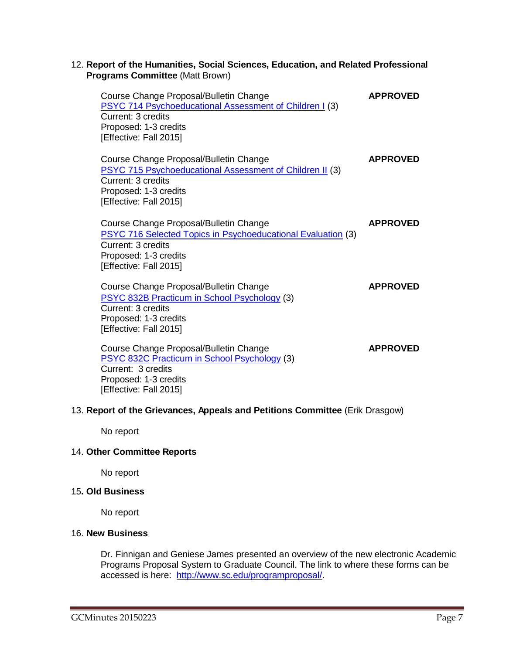### 12. **Report of the Humanities, Social Sciences, Education, and Related Professional Programs Committee** (Matt Brown)

| Course Change Proposal/Bulletin Change<br><b>PSYC 714 Psychoeducational Assessment of Children I (3)</b><br>Current: 3 credits<br>Proposed: 1-3 credits<br>[Effective: Fall 2015]      | <b>APPROVED</b> |
|----------------------------------------------------------------------------------------------------------------------------------------------------------------------------------------|-----------------|
| Course Change Proposal/Bulletin Change<br><b>PSYC 715 Psychoeducational Assessment of Children II (3)</b><br>Current: 3 credits<br>Proposed: 1-3 credits<br>[Effective: Fall 2015]     | <b>APPROVED</b> |
| Course Change Proposal/Bulletin Change<br><b>PSYC 716 Selected Topics in Psychoeducational Evaluation (3)</b><br>Current: 3 credits<br>Proposed: 1-3 credits<br>[Effective: Fall 2015] | <b>APPROVED</b> |
| Course Change Proposal/Bulletin Change<br><b>PSYC 832B Practicum in School Psychology (3)</b><br>Current: 3 credits<br>Proposed: 1-3 credits<br>[Effective: Fall 2015]                 | <b>APPROVED</b> |
| Course Change Proposal/Bulletin Change<br>PSYC 832C Practicum in School Psychology (3)<br>Current: 3 credits<br>Proposed: 1-3 credits<br>[Effective: Fall 2015]                        | <b>APPROVED</b> |

## 13. **Report of the Grievances, Appeals and Petitions Committee** (Erik Drasgow)

No report

### 14. **Other Committee Reports**

No report

## 15**. Old Business**

No report

## 16. **New Business**

Dr. Finnigan and Geniese James presented an overview of the new electronic Academic Programs Proposal System to Graduate Council. The link to where these forms can be accessed is here: [http://www.sc.edu/programproposal/.](http://www.sc.edu/programproposal/)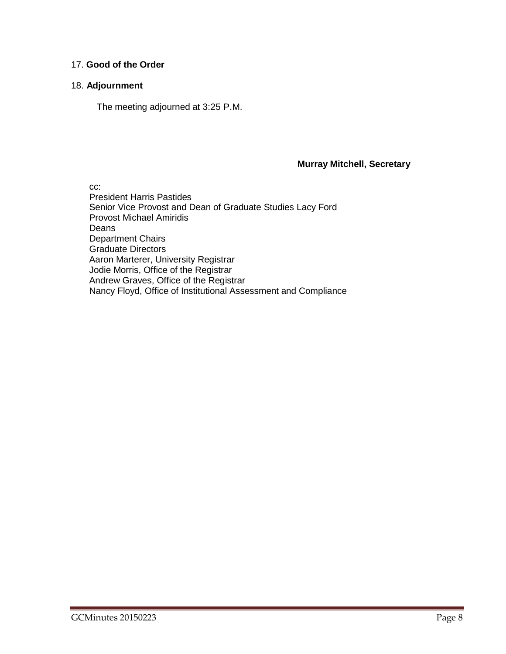## 17. **Good of the Order**

## 18. **Adjournment**

The meeting adjourned at 3:25 P.M.

#### **Murray Mitchell, Secretary**

cc:

President Harris Pastides Senior Vice Provost and Dean of Graduate Studies Lacy Ford Provost Michael Amiridis Deans Department Chairs Graduate Directors Aaron Marterer, University Registrar Jodie Morris, Office of the Registrar Andrew Graves, Office of the Registrar Nancy Floyd, Office of Institutional Assessment and Compliance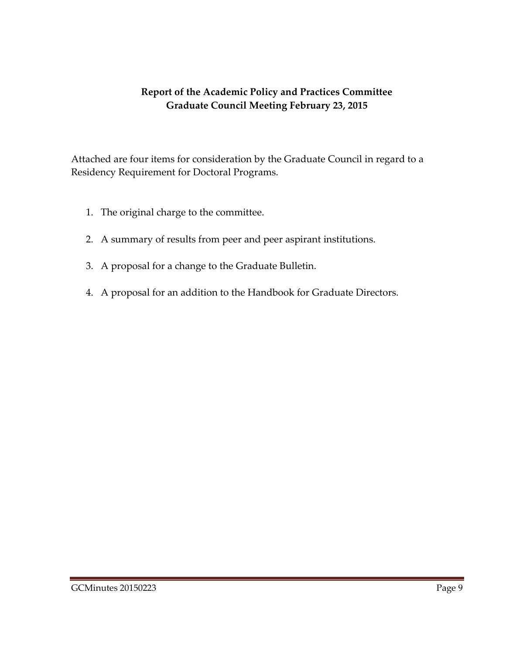# **Report of the Academic Policy and Practices Committee Graduate Council Meeting February 23, 2015**

Attached are four items for consideration by the Graduate Council in regard to a Residency Requirement for Doctoral Programs.

- 1. The original charge to the committee.
- 2. A summary of results from peer and peer aspirant institutions.
- 3. A proposal for a change to the Graduate Bulletin.
- 4. A proposal for an addition to the Handbook for Graduate Directors.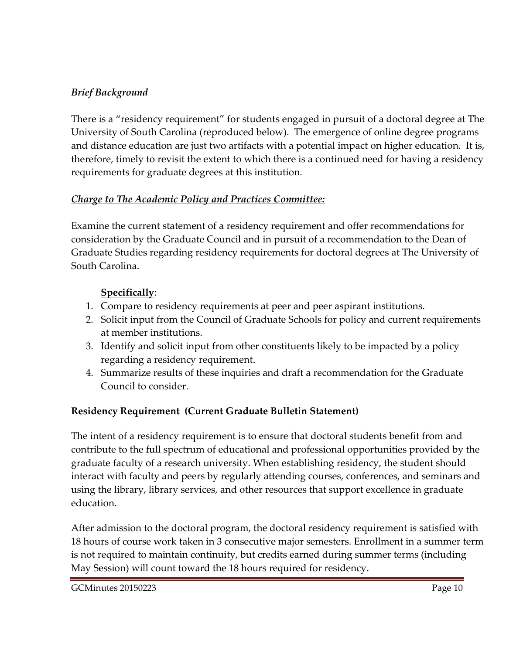# *Brief Background*

There is a "residency requirement" for students engaged in pursuit of a doctoral degree at The University of South Carolina (reproduced below). The emergence of online degree programs and distance education are just two artifacts with a potential impact on higher education. It is, therefore, timely to revisit the extent to which there is a continued need for having a residency requirements for graduate degrees at this institution.

# *Charge to The Academic Policy and Practices Committee:*

Examine the current statement of a residency requirement and offer recommendations for consideration by the Graduate Council and in pursuit of a recommendation to the Dean of Graduate Studies regarding residency requirements for doctoral degrees at The University of South Carolina.

# **Specifically**:

- 1. Compare to residency requirements at peer and peer aspirant institutions.
- 2. Solicit input from the Council of Graduate Schools for policy and current requirements at member institutions.
- 3. Identify and solicit input from other constituents likely to be impacted by a policy regarding a residency requirement.
- 4. Summarize results of these inquiries and draft a recommendation for the Graduate Council to consider.

# **Residency Requirement (Current Graduate Bulletin Statement)**

The intent of a residency requirement is to ensure that doctoral students benefit from and contribute to the full spectrum of educational and professional opportunities provided by the graduate faculty of a research university. When establishing residency, the student should interact with faculty and peers by regularly attending courses, conferences, and seminars and using the library, library services, and other resources that support excellence in graduate education.

After admission to the doctoral program, the doctoral residency requirement is satisfied with 18 hours of course work taken in 3 consecutive major semesters. Enrollment in a summer term is not required to maintain continuity, but credits earned during summer terms (including May Session) will count toward the 18 hours required for residency.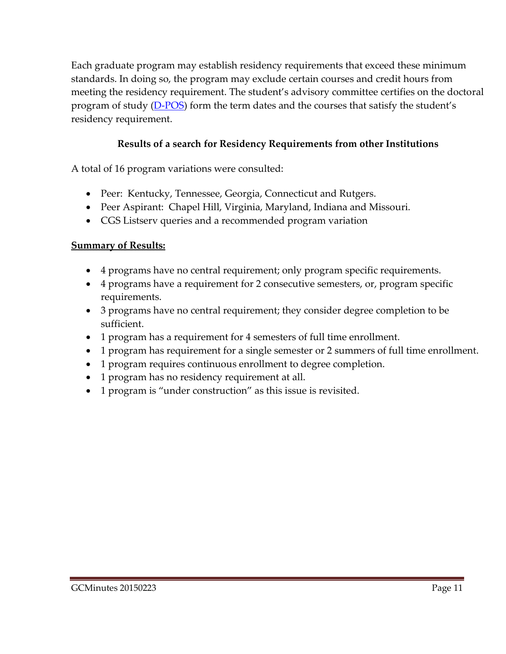Each graduate program may establish residency requirements that exceed these minimum standards. In doing so, the program may exclude certain courses and credit hours from meeting the residency requirement. The student's advisory committee certifies on the doctoral program of study [\(D-POS](http://gradschool.sc.edu/DocLibrary/documents/doctoralprogramofstudy.pdf)) form the term dates and the courses that satisfy the student's residency requirement.

# **Results of a search for Residency Requirements from other Institutions**

A total of 16 program variations were consulted:

- Peer: Kentucky, Tennessee, Georgia, Connecticut and Rutgers.
- Peer Aspirant: Chapel Hill, Virginia, Maryland, Indiana and Missouri.
- CGS Listserv queries and a recommended program variation

# **Summary of Results:**

- 4 programs have no central requirement; only program specific requirements.
- 4 programs have a requirement for 2 consecutive semesters, or, program specific requirements.
- 3 programs have no central requirement; they consider degree completion to be sufficient.
- 1 program has a requirement for 4 semesters of full time enrollment.
- 1 program has requirement for a single semester or 2 summers of full time enrollment.
- 1 program requires continuous enrollment to degree completion.
- 1 program has no residency requirement at all.
- 1 program is "under construction" as this issue is revisited.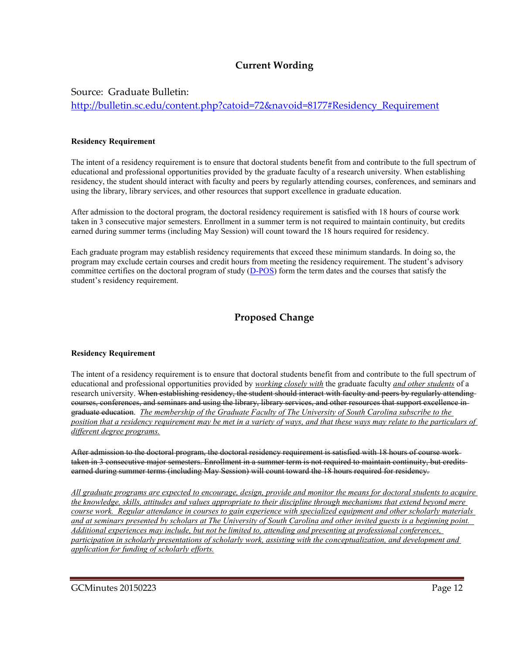## **Current Wording**

Source: Graduate Bulletin:

[http://bulletin.sc.edu/content.php?catoid=72&navoid=8177#Residency\\_Requirement](http://bulletin.sc.edu/content.php?catoid=72&navoid=8177#Residency_Requirement)

#### **Residency Requirement**

The intent of a residency requirement is to ensure that doctoral students benefit from and contribute to the full spectrum of educational and professional opportunities provided by the graduate faculty of a research university. When establishing residency, the student should interact with faculty and peers by regularly attending courses, conferences, and seminars and using the library, library services, and other resources that support excellence in graduate education.

After admission to the doctoral program, the doctoral residency requirement is satisfied with 18 hours of course work taken in 3 consecutive major semesters. Enrollment in a summer term is not required to maintain continuity, but credits earned during summer terms (including May Session) will count toward the 18 hours required for residency.

Each graduate program may establish residency requirements that exceed these minimum standards. In doing so, the program may exclude certain courses and credit hours from meeting the residency requirement. The student's advisory committee certifies on the doctoral program of study  $(D-POS)$  form the term dates and the courses that satisfy the student's residency requirement.

## **Proposed Change**

#### **Residency Requirement**

The intent of a residency requirement is to ensure that doctoral students benefit from and contribute to the full spectrum of educational and professional opportunities provided by *working closely with* the graduate faculty *and other students* of a research university. When establishing residency, the student should interact with faculty and peers by regularly attending courses, conferences, and seminars and using the library, library services, and other resources that support excellence in graduate education. *The membership of the Graduate Faculty of The University of South Carolina subscribe to the position that a residency requirement may be met in a variety of ways, and that these ways may relate to the particulars of different degree programs.*

After admission to the doctoral program, the doctoral residency requirement is satisfied with 18 hours of course work taken in 3 consecutive major semesters. Enrollment in a summer term is not required to maintain continuity, but credits earned during summer terms (including May Session) will count toward the 18 hours required for residency.

*All graduate programs are expected to encourage, design, provide and monitor the means for doctoral students to acquire the knowledge, skills, attitudes and values appropriate to their discipline through mechanisms that extend beyond mere course work. Regular attendance in courses to gain experience with specialized equipment and other scholarly materials and at seminars presented by scholars at The University of South Carolina and other invited guests is a beginning point. Additional experiences may include, but not be limited to, attending and presenting at professional conferences, participation in scholarly presentations of scholarly work, assisting with the conceptualization, and development and application for funding of scholarly efforts.*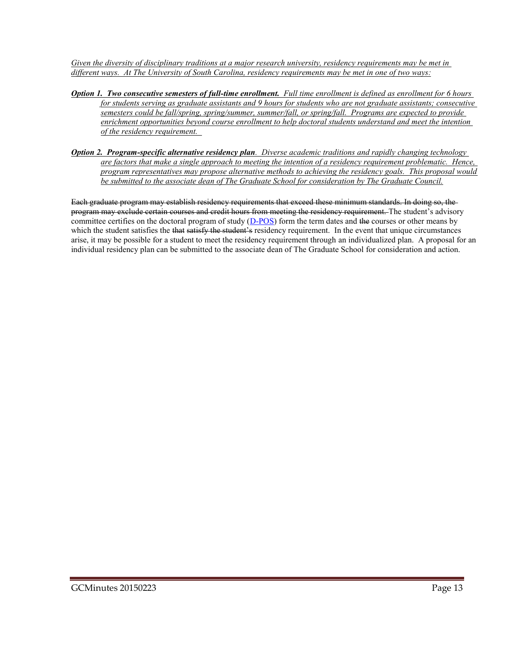*Given the diversity of disciplinary traditions at a major research university, residency requirements may be met in different ways. At The University of South Carolina, residency requirements may be met in one of two ways:*

- *Option 1. Two consecutive semesters of full-time enrollment. Full time enrollment is defined as enrollment for 6 hours for students serving as graduate assistants and 9 hours for students who are not graduate assistants; consecutive semesters could be fall/spring, spring/summer, summer/fall, or spring/fall. Programs are expected to provide enrichment opportunities beyond course enrollment to help doctoral students understand and meet the intention of the residency requirement.*
- *Option 2. Program-specific alternative residency plan. Diverse academic traditions and rapidly changing technology are factors that make a single approach to meeting the intention of a residency requirement problematic. Hence, program representatives may propose alternative methods to achieving the residency goals. This proposal would be submitted to the associate dean of The Graduate School for consideration by The Graduate Council.*

Each graduate program may establish residency requirements that exceed these minimum standards. In doing so, the program may exclude certain courses and credit hours from meeting the residency requirement. The student's advisory committee certifies on the doctoral program of study [\(D-POS\)](http://gradschool.sc.edu/DocLibrary/documents/doctoralprogramofstudy.pdf) form the term dates and the courses or other means by which the student satisfies the that satisfy the student's residency requirement. In the event that unique circumstances arise, it may be possible for a student to meet the residency requirement through an individualized plan. A proposal for an individual residency plan can be submitted to the associate dean of The Graduate School for consideration and action.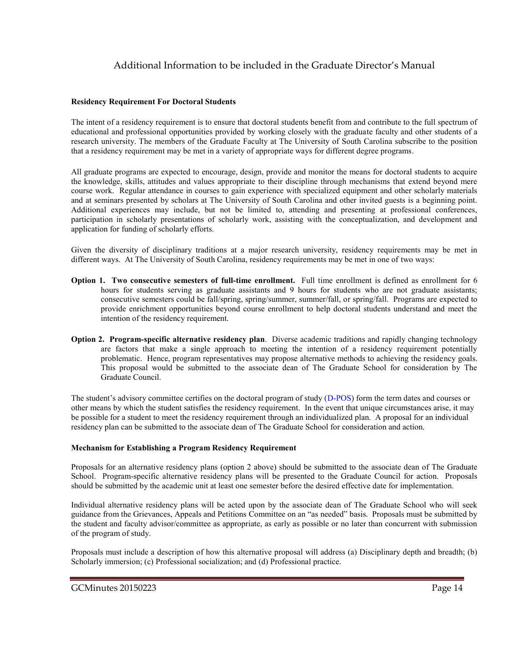## Additional Information to be included in the Graduate Director's Manual

#### **Residency Requirement For Doctoral Students**

The intent of a residency requirement is to ensure that doctoral students benefit from and contribute to the full spectrum of educational and professional opportunities provided by working closely with the graduate faculty and other students of a research university. The members of the Graduate Faculty at The University of South Carolina subscribe to the position that a residency requirement may be met in a variety of appropriate ways for different degree programs.

All graduate programs are expected to encourage, design, provide and monitor the means for doctoral students to acquire the knowledge, skills, attitudes and values appropriate to their discipline through mechanisms that extend beyond mere course work. Regular attendance in courses to gain experience with specialized equipment and other scholarly materials and at seminars presented by scholars at The University of South Carolina and other invited guests is a beginning point. Additional experiences may include, but not be limited to, attending and presenting at professional conferences, participation in scholarly presentations of scholarly work, assisting with the conceptualization, and development and application for funding of scholarly efforts.

Given the diversity of disciplinary traditions at a major research university, residency requirements may be met in different ways. At The University of South Carolina, residency requirements may be met in one of two ways:

- **Option 1. Two consecutive semesters of full-time enrollment.** Full time enrollment is defined as enrollment for 6 hours for students serving as graduate assistants and 9 hours for students who are not graduate assistants; consecutive semesters could be fall/spring, spring/summer, summer/fall, or spring/fall. Programs are expected to provide enrichment opportunities beyond course enrollment to help doctoral students understand and meet the intention of the residency requirement.
- **Option 2. Program-specific alternative residency plan**. Diverse academic traditions and rapidly changing technology are factors that make a single approach to meeting the intention of a residency requirement potentially problematic. Hence, program representatives may propose alternative methods to achieving the residency goals. This proposal would be submitted to the associate dean of The Graduate School for consideration by The Graduate Council.

The student's advisory committee certifies on the doctoral program of study ([D-POS\)](http://gradschool.sc.edu/DocLibrary/documents/doctoralprogramofstudy.pdf) form the term dates and courses or other means by which the student satisfies the residency requirement. In the event that unique circumstances arise, it may be possible for a student to meet the residency requirement through an individualized plan. A proposal for an individual residency plan can be submitted to the associate dean of The Graduate School for consideration and action.

#### **Mechanism for Establishing a Program Residency Requirement**

Proposals for an alternative residency plans (option 2 above) should be submitted to the associate dean of The Graduate School. Program-specific alternative residency plans will be presented to the Graduate Council for action. Proposals should be submitted by the academic unit at least one semester before the desired effective date for implementation.

Individual alternative residency plans will be acted upon by the associate dean of The Graduate School who will seek guidance from the Grievances, Appeals and Petitions Committee on an "as needed" basis. Proposals must be submitted by the student and faculty advisor/committee as appropriate, as early as possible or no later than concurrent with submission of the program of study.

Proposals must include a description of how this alternative proposal will address (a) Disciplinary depth and breadth; (b) Scholarly immersion; (c) Professional socialization; and (d) Professional practice.